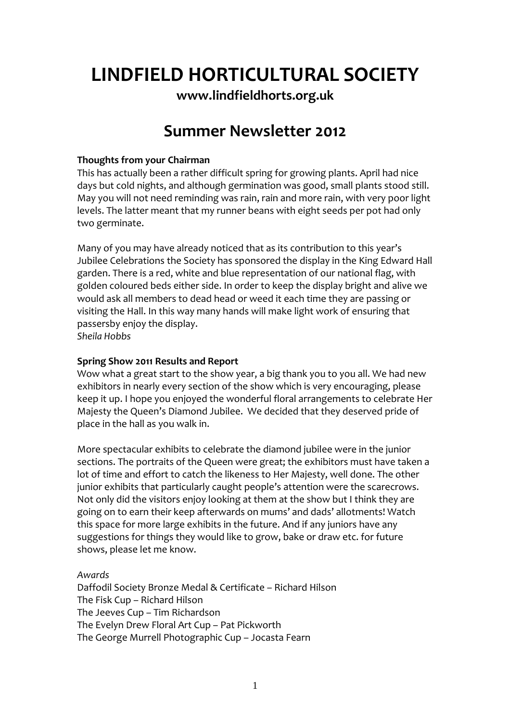# **LINDFIELD HORTICULTURAL SOCIETY**

**www.lindfieldhorts.org.uk**

# **Summer Newsletter 2012**

# **Thoughts from your Chairman**

This has actually been a rather difficult spring for growing plants. April had nice days but cold nights, and although germination was good, small plants stood still. May you will not need reminding was rain, rain and more rain, with very poor light levels. The latter meant that my runner beans with eight seeds per pot had only two germinate.

Many of you may have already noticed that as its contribution to this year's Jubilee Celebrations the Society has sponsored the display in the King Edward Hall garden. There is a red, white and blue representation of our national flag, with golden coloured beds either side. In order to keep the display bright and alive we would ask all members to dead head or weed it each time they are passing or visiting the Hall. In this way many hands will make light work of ensuring that passersby enjoy the display.

*Sheila Hobbs*

# **Spring Show 2011 Results and Report**

Wow what a great start to the show year, a big thank you to you all. We had new exhibitors in nearly every section of the show which is very encouraging, please keep it up. I hope you enjoyed the wonderful floral arrangements to celebrate Her Majesty the Queen's Diamond Jubilee. We decided that they deserved pride of place in the hall as you walk in.

More spectacular exhibits to celebrate the diamond jubilee were in the junior sections. The portraits of the Queen were great; the exhibitors must have taken a lot of time and effort to catch the likeness to Her Majesty, well done. The other junior exhibits that particularly caught people's attention were the scarecrows. Not only did the visitors enjoy looking at them at the show but I think they are going on to earn their keep afterwards on mums' and dads' allotments! Watch this space for more large exhibits in the future. And if any juniors have any suggestions for things they would like to grow, bake or draw etc. for future shows, please let me know.

# *Awards*

Daffodil Society Bronze Medal & Certificate – Richard Hilson The Fisk Cup – Richard Hilson The Jeeves Cup – Tim Richardson The Evelyn Drew Floral Art Cup – Pat Pickworth The George Murrell Photographic Cup – Jocasta Fearn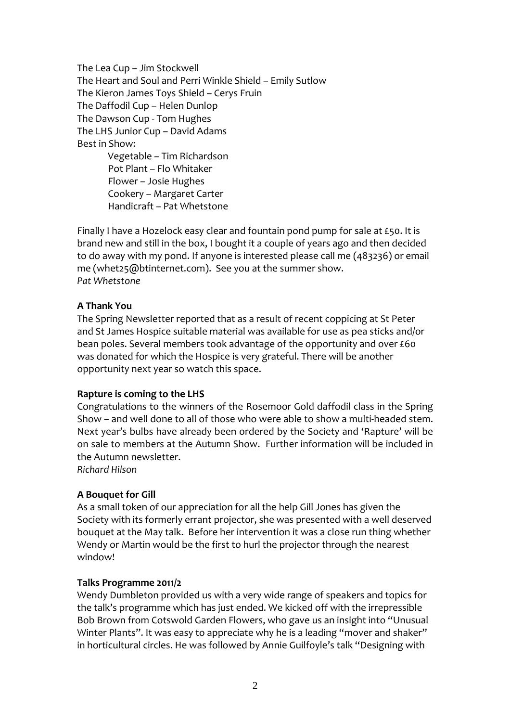The Lea Cup – Jim Stockwell The Heart and Soul and Perri Winkle Shield – Emily Sutlow The Kieron James Toys Shield – Cerys Fruin The Daffodil Cup – Helen Dunlop The Dawson Cup ‐ Tom Hughes The LHS Junior Cup – David Adams Best in Show: Vegetable – Tim Richardson Pot Plant – Flo Whitaker Flower – Josie Hughes

Cookery – Margaret Carter Handicraft – Pat Whetstone

Finally I have a Hozelock easy clear and fountain pond pump for sale at £50. It is brand new and still in the box, I bought it a couple of years ago and then decided to do away with my pond. If anyone is interested please call me (483236) or email me (whet25@btinternet.com). See you at the summer show. *Pat Whetstone*

# **A Thank You**

The Spring Newsletter reported that as a result of recent coppicing at St Peter and St James Hospice suitable material was available for use as pea sticks and/or bean poles. Several members took advantage of the opportunity and over £60 was donated for which the Hospice is very grateful. There will be another opportunity next year so watch this space.

# **Rapture is coming to the LHS**

Congratulations to the winners of the Rosemoor Gold daffodil class in the Spring Show – and well done to all of those who were able to show a multi-headed stem. Next year's bulbs have already been ordered by the Society and 'Rapture' will be on sale to members at the Autumn Show. Further information will be included in the Autumn newsletter.

*Richard Hilson*

### **A Bouquet for Gill**

As a small token of our appreciation for all the help Gill Jones has given the Society with its formerly errant projector, she was presented with a well deserved bouquet at the May talk. Before her intervention it was a close run thing whether Wendy or Martin would be the first to hurl the projector through the nearest window!

### **Talks Programme 2011/2**

Wendy Dumbleton provided us with a very wide range of speakers and topics for the talk's programme which has just ended. We kicked off with the irrepressible Bob Brown from Cotswold Garden Flowers, who gave us an insight into "Unusual Winter Plants". It was easy to appreciate why he is a leading "mover and shaker" in horticultural circles. He was followed by Annie Guilfoyle's talk "Designing with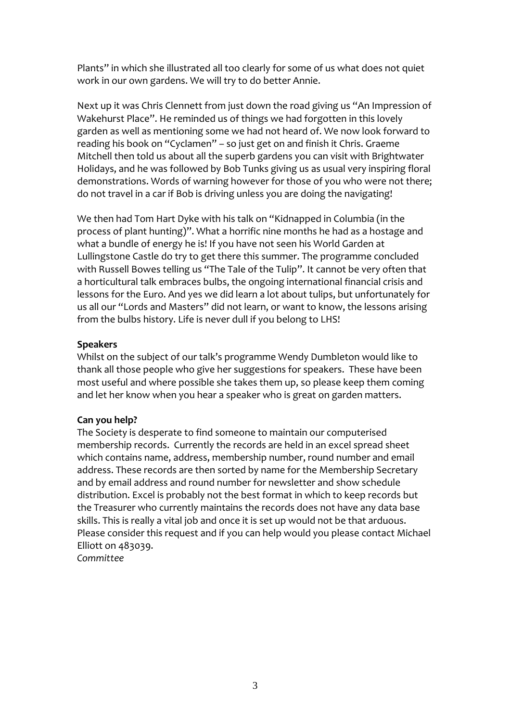Plants" in which she illustrated all too clearly for some of us what does not quiet work in our own gardens. We will try to do better Annie.

Next up it was Chris Clennett from just down the road giving us "An Impression of Wakehurst Place". He reminded us of things we had forgotten in this lovely garden as well as mentioning some we had not heard of. We now look forward to reading his book on "Cyclamen" – so just get on and finish it Chris. Graeme Mitchell then told us about all the superb gardens you can visit with Brightwater Holidays, and he was followed by Bob Tunks giving us as usual very inspiring floral demonstrations. Words of warning however for those of you who were not there; do not travel in a car if Bob is driving unless you are doing the navigating!

We then had Tom Hart Dyke with his talk on "Kidnapped in Columbia (in the process of plant hunting)". What a horrific nine months he had as a hostage and what a bundle of energy he is! If you have not seen his World Garden at Lullingstone Castle do try to get there this summer. The programme concluded with Russell Bowes telling us "The Tale of the Tulip". It cannot be very often that a horticultural talk embraces bulbs, the ongoing international financial crisis and lessons for the Euro. And yes we did learn a lot about tulips, but unfortunately for us all our "Lords and Masters" did not learn, or want to know, the lessons arising from the bulbs history. Life is never dull if you belong to LHS!

# **Speakers**

Whilst on the subject of our talk's programme Wendy Dumbleton would like to thank all those people who give her suggestions for speakers. These have been most useful and where possible she takes them up, so please keep them coming and let her know when you hear a speaker who is great on garden matters.

# **Can you help?**

The Society is desperate to find someone to maintain our computerised membership records. Currently the records are held in an excel spread sheet which contains name, address, membership number, round number and email address. These records are then sorted by name for the Membership Secretary and by email address and round number for newsletter and show schedule distribution. Excel is probably not the best format in which to keep records but the Treasurer who currently maintains the records does not have any data base skills. This is really a vital job and once it is set up would not be that arduous. Please consider this request and if you can help would you please contact Michael Elliott on 483039.

*Committee*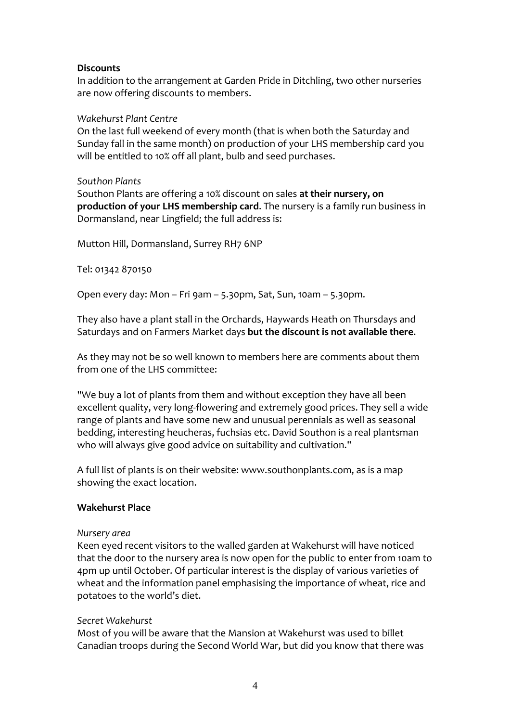## **Discounts**

In addition to the arrangement at Garden Pride in Ditchling, two other nurseries are now offering discounts to members.

### *Wakehurst Plant Centre*

On the last full weekend of every month (that is when both the Saturday and Sunday fall in the same month) on production of your LHS membership card you will be entitled to 10% off all plant, bulb and seed purchases.

### *Southon Plants*

Southon Plants are offering a 10% discount on sales **at their nursery, on production of your LHS membership card**. The nursery is a family run business in Dormansland, near Lingfield; the full address is:

Mutton Hill, Dormansland, Surrey RH7 6NP

Tel: 01342 870150

Open every day: Mon – Fri 9am – 5.30pm, Sat, Sun, 10am – 5.30pm.

They also have a plant stall in the Orchards, Haywards Heath on Thursdays and Saturdays and on Farmers Market days **but the discount is not available there**.

As they may not be so well known to members here are comments about them from one of the LHS committee:

"We buy a lot of plants from them and without exception they have all been excellent quality, very long‐flowering and extremely good prices. They sell a wide range of plants and have some new and unusual perennials as well as seasonal bedding, interesting heucheras, fuchsias etc. David Southon is a real plantsman who will always give good advice on suitability and cultivation."

A full list of plants is on their website: www.southonplants.com, as is a map showing the exact location.

### **Wakehurst Place**

#### *Nursery area*

Keen eyed recent visitors to the walled garden at Wakehurst will have noticed that the door to the nursery area is now open for the public to enter from 10am to 4pm up until October. Of particular interest is the display of various varieties of wheat and the information panel emphasising the importance of wheat, rice and potatoes to the world's diet.

### *Secret Wakehurst*

Most of you will be aware that the Mansion at Wakehurst was used to billet Canadian troops during the Second World War, but did you know that there was